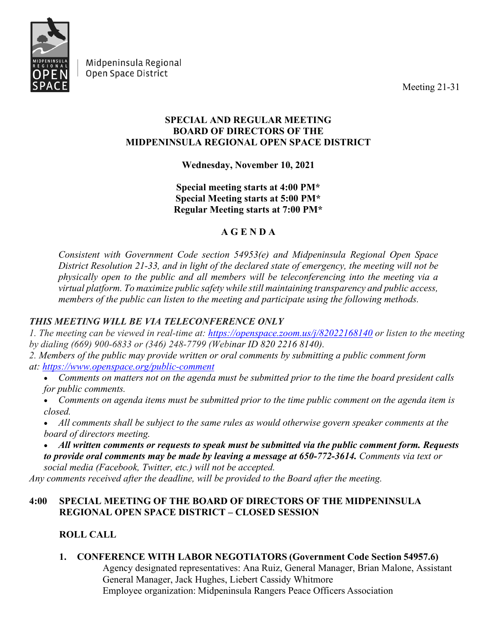

Midpeninsula Regional Open Space District

Meeting 21-31

## **SPECIAL AND REGULAR MEETING BOARD OF DIRECTORS OF THE MIDPENINSULA REGIONAL OPEN SPACE DISTRICT**

# **Wednesday, November 10, 2021**

## **Special meeting starts at 4:00 PM\* Special Meeting starts at 5:00 PM\* Regular Meeting starts at 7:00 PM\***

# **A G E N D A**

*Consistent with Government Code section 54953(e) and Midpeninsula Regional Open Space District Resolution 21-33, and in light of the declared state of emergency, the meeting will not be physically open to the public and all members will be teleconferencing into the meeting via a virtual platform. To maximize public safety while still maintaining transparency and public access, members of the public can listen to the meeting and participate using the following methods.*

# *THIS MEETING WILL BE VIA TELECONFERENCE ONLY*

*1. The meeting can be viewed in real-time at: <https://openspace.zoom.us/j/82022168140> or listen to the meeting by dialing (669) 900-6833 or (346) 248-7799 (Webinar ID 820 2216 8140).*

- *2. Members of the public may provide written or oral comments by submitting a public comment form at: <https://www.openspace.org/public-comment>*
	- *Comments on matters not on the agenda must be submitted prior to the time the board president calls for public comments.*
	- *Comments on agenda items must be submitted prior to the time public comment on the agenda item is closed.*
	- *All comments shall be subject to the same rules as would otherwise govern speaker comments at the board of directors meeting.*
	- *All written comments or requests to speak must be submitted via the public comment form. Requests to provide oral comments may be made by leaving a message at 650-772-3614. Comments via text or social media (Facebook, Twitter, etc.) will not be accepted.*

*Any comments received after the deadline, will be provided to the Board after the meeting.*

## **4:00 SPECIAL MEETING OF THE BOARD OF DIRECTORS OF THE MIDPENINSULA REGIONAL OPEN SPACE DISTRICT – CLOSED SESSION**

# **ROLL CALL**

## **1. CONFERENCE WITH LABOR NEGOTIATORS (Government Code Section 54957.6)**

Agency designated representatives: Ana Ruiz, General Manager, Brian Malone, Assistant General Manager, Jack Hughes, Liebert Cassidy Whitmore  Employee organization: Midpeninsula Rangers Peace Officers Association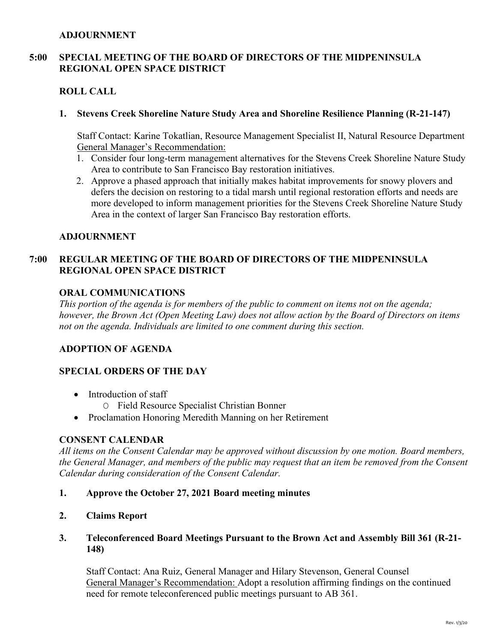#### **ADJOURNMENT**

### **5:00 SPECIAL MEETING OF THE BOARD OF DIRECTORS OF THE MIDPENINSULA REGIONAL OPEN SPACE DISTRICT**

### **ROLL CALL**

#### **1. Stevens Creek Shoreline Nature Study Area and Shoreline Resilience Planning (R-21-147)**

Staff Contact: Karine Tokatlian, Resource Management Specialist II, Natural Resource Department General Manager's Recommendation:

- 1. Consider four long-term management alternatives for the Stevens Creek Shoreline Nature Study Area to contribute to San Francisco Bay restoration initiatives.
- 2. Approve a phased approach that initially makes habitat improvements for snowy plovers and defers the decision on restoring to a tidal marsh until regional restoration efforts and needs are more developed to inform management priorities for the Stevens Creek Shoreline Nature Study Area in the context of larger San Francisco Bay restoration efforts.

#### **ADJOURNMENT**

### **7:00 REGULAR MEETING OF THE BOARD OF DIRECTORS OF THE MIDPENINSULA REGIONAL OPEN SPACE DISTRICT**

#### **ORAL COMMUNICATIONS**

*This portion of the agenda is for members of the public to comment on items not on the agenda; however, the Brown Act (Open Meeting Law) does not allow action by the Board of Directors on items not on the agenda. Individuals are limited to one comment during this section.*

#### **ADOPTION OF AGENDA**

### **SPECIAL ORDERS OF THE DAY**

- Introduction of staff
	- O Field Resource Specialist Christian Bonner
- Proclamation Honoring Meredith Manning on her Retirement

#### **CONSENT CALENDAR**

*All items on the Consent Calendar may be approved without discussion by one motion. Board members, the General Manager, and members of the public may request that an item be removed from the Consent Calendar during consideration of the Consent Calendar.*

- **1. Approve the October 27, 2021 Board meeting minutes**
- **2. Claims Report**
- **3. Teleconferenced Board Meetings Pursuant to the Brown Act and Assembly Bill 361 (R-21- 148)**

Staff Contact: Ana Ruiz, General Manager and Hilary Stevenson, General Counsel General Manager's Recommendation: Adopt a resolution affirming findings on the continued need for remote teleconferenced public meetings pursuant to AB 361.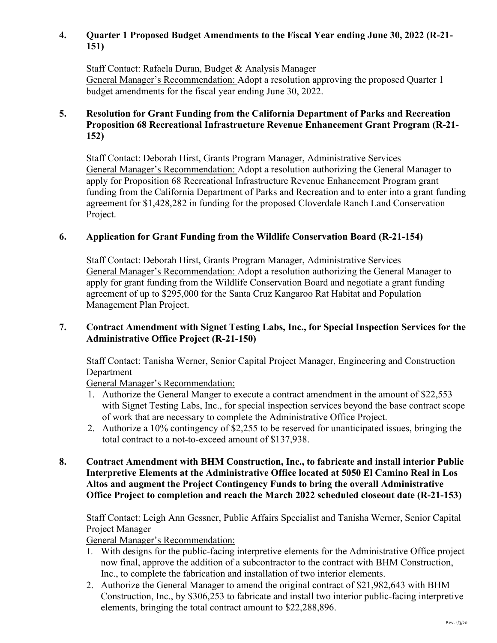## **4. Quarter 1 Proposed Budget Amendments to the Fiscal Year ending June 30, 2022 (R-21- 151)**

Staff Contact: Rafaela Duran, Budget & Analysis Manager General Manager's Recommendation: Adopt a resolution approving the proposed Quarter 1 budget amendments for the fiscal year ending June 30, 2022.

## **5. Resolution for Grant Funding from the California Department of Parks and Recreation Proposition 68 Recreational Infrastructure Revenue Enhancement Grant Program (R-21- 152)**

Staff Contact: Deborah Hirst, Grants Program Manager, Administrative Services General Manager's Recommendation: Adopt a resolution authorizing the General Manager to apply for Proposition 68 Recreational Infrastructure Revenue Enhancement Program grant funding from the California Department of Parks and Recreation and to enter into a grant funding agreement for \$1,428,282 in funding for the proposed Cloverdale Ranch Land Conservation Project.

## **6. Application for Grant Funding from the Wildlife Conservation Board (R-21-154)**

Staff Contact: Deborah Hirst, Grants Program Manager, Administrative Services General Manager's Recommendation: Adopt a resolution authorizing the General Manager to apply for grant funding from the Wildlife Conservation Board and negotiate a grant funding agreement of up to \$295,000 for the Santa Cruz Kangaroo Rat Habitat and Population Management Plan Project.

#### **7. Contract Amendment with Signet Testing Labs, Inc., for Special Inspection Services for the Administrative Office Project (R-21-150)**

Staff Contact: Tanisha Werner, Senior Capital Project Manager, Engineering and Construction Department

General Manager's Recommendation:

- 1. Authorize the General Manger to execute a contract amendment in the amount of \$22,553 with Signet Testing Labs, Inc., for special inspection services beyond the base contract scope of work that are necessary to complete the Administrative Office Project.
- 2. Authorize a 10% contingency of \$2,255 to be reserved for unanticipated issues, bringing the total contract to a not-to-exceed amount of \$137,938.

#### **8. Contract Amendment with BHM Construction, Inc., to fabricate and install interior Public Interpretive Elements at the Administrative Office located at 5050 El Camino Real in Los Altos and augment the Project Contingency Funds to bring the overall Administrative Office Project to completion and reach the March 2022 scheduled closeout date (R-21-153)**

Staff Contact: Leigh Ann Gessner, Public Affairs Specialist and Tanisha Werner, Senior Capital Project Manager

General Manager's Recommendation:

- 1. With designs for the public-facing interpretive elements for the Administrative Office project now final, approve the addition of a subcontractor to the contract with BHM Construction, Inc., to complete the fabrication and installation of two interior elements.
- 2. Authorize the General Manager to amend the original contract of \$21,982,643 with BHM Construction, Inc., by \$306,253 to fabricate and install two interior public-facing interpretive elements, bringing the total contract amount to \$22,288,896.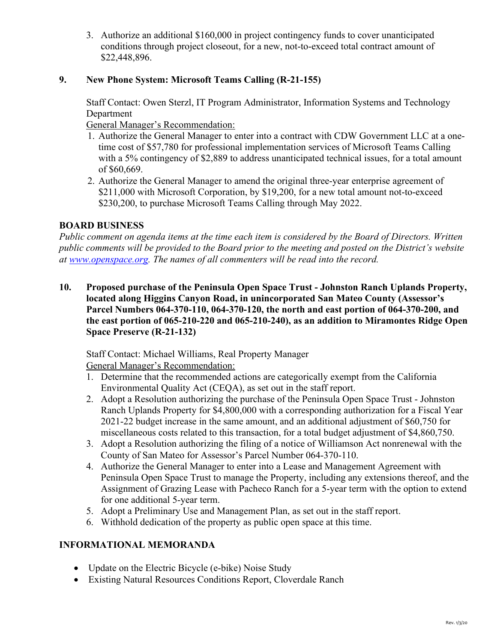3. Authorize an additional \$160,000 in project contingency funds to cover unanticipated conditions through project closeout, for a new, not-to-exceed total contract amount of \$22,448,896.

## **9. New Phone System: Microsoft Teams Calling (R-21-155)**

Staff Contact: Owen Sterzl, IT Program Administrator, Information Systems and Technology Department

General Manager's Recommendation:

- 1. Authorize the General Manager to enter into a contract with CDW Government LLC at a onetime cost of \$57,780 for professional implementation services of Microsoft Teams Calling with a 5% contingency of \$2,889 to address unanticipated technical issues, for a total amount of \$60,669.
- 2. Authorize the General Manager to amend the original three-year enterprise agreement of \$211,000 with Microsoft Corporation, by \$19,200, for a new total amount not-to-exceed \$230,200, to purchase Microsoft Teams Calling through May 2022.

## **BOARD BUSINESS**

*Public comment on agenda items at the time each item is considered by the Board of Directors. Written public comments will be provided to the Board prior to the meeting and posted on the District's website at [www.openspace.org.](http://www.openspace.org/) The names of all commenters will be read into the record.* 

**10. Proposed purchase of the Peninsula Open Space Trust - Johnston Ranch Uplands Property, located along Higgins Canyon Road, in unincorporated San Mateo County (Assessor's Parcel Numbers 064-370-110, 064-370-120, the north and east portion of 064-370-200, and the east portion of 065-210-220 and 065-210-240), as an addition to Miramontes Ridge Open Space Preserve (R-21-132)**

Staff Contact: Michael Williams, Real Property Manager General Manager's Recommendation:

- 1. Determine that the recommended actions are categorically exempt from the California Environmental Quality Act (CEQA), as set out in the staff report.
- 2. Adopt a Resolution authorizing the purchase of the Peninsula Open Space Trust Johnston Ranch Uplands Property for \$4,800,000 with a corresponding authorization for a Fiscal Year 2021-22 budget increase in the same amount, and an additional adjustment of \$60,750 for miscellaneous costs related to this transaction, for a total budget adjustment of \$4,860,750.
- 3. Adopt a Resolution authorizing the filing of a notice of Williamson Act nonrenewal with the County of San Mateo for Assessor's Parcel Number 064-370-110.
- 4. Authorize the General Manager to enter into a Lease and Management Agreement with Peninsula Open Space Trust to manage the Property, including any extensions thereof, and the Assignment of Grazing Lease with Pacheco Ranch for a 5-year term with the option to extend for one additional 5-year term.
- 5. Adopt a Preliminary Use and Management Plan, as set out in the staff report.
- 6. Withhold dedication of the property as public open space at this time.

## **INFORMATIONAL MEMORANDA**

- Update on the Electric Bicycle (e-bike) Noise Study
- Existing Natural Resources Conditions Report, Cloverdale Ranch